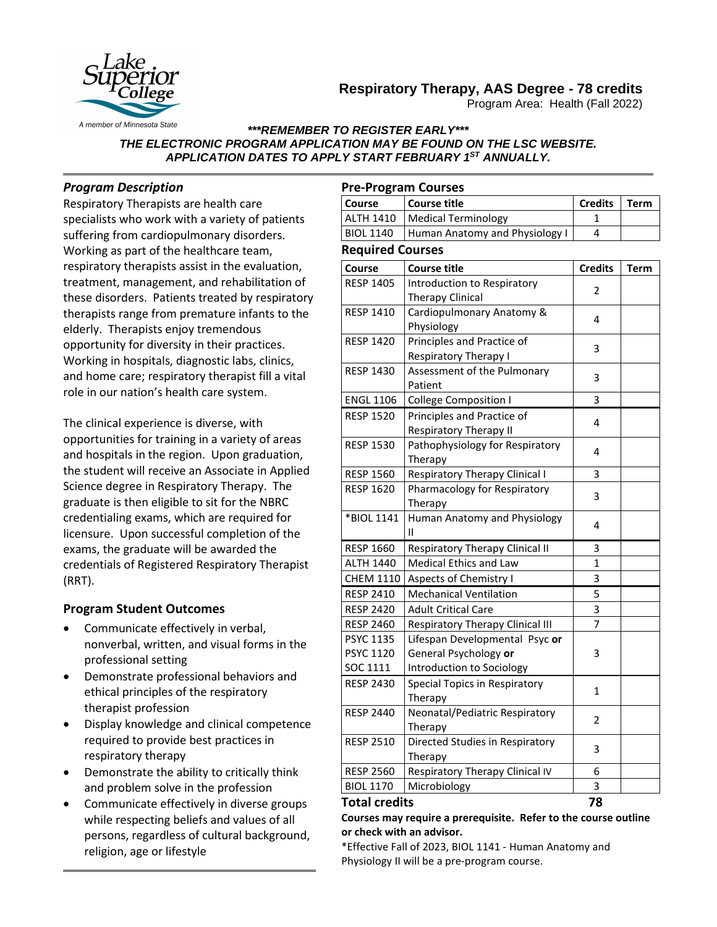# **Respiratory Therapy, AAS Degree - 78 credits**



Program Area: Health (Fall 2022)

### *\*\*\*REMEMBER TO REGISTER EARLY\*\*\* THE ELECTRONIC PROGRAM APPLICATION MAY BE FOUND ON THE LSC WEBSITE. APPLICATION DATES TO APPLY START FEBRUARY 1ST ANNUALLY.*

# *Program Description*

Respiratory Therapists are health care specialists who work with a variety of patients suffering from cardiopulmonary disorders. Working as part of the healthcare team, respiratory therapists assist in the evaluation, treatment, management, and rehabilitation of these disorders. Patients treated by respiratory therapists range from premature infants to the elderly. Therapists enjoy tremendous opportunity for diversity in their practices. Working in hospitals, diagnostic labs, clinics, and home care; respiratory therapist fill a vital role in our nation's health care system.

The clinical experience is diverse, with opportunities for training in a variety of areas and hospitals in the region. Upon graduation, the student will receive an Associate in Applied Science degree in Respiratory Therapy. The graduate is then eligible to sit for the NBRC credentialing exams, which are required for licensure. Upon successful completion of the exams, the graduate will be awarded the credentials of Registered Respiratory Therapist (RRT).

## **Program Student Outcomes**

- Communicate effectively in verbal, nonverbal, written, and visual forms in the professional setting
- Demonstrate professional behaviors and ethical principles of the respiratory therapist profession
- Display knowledge and clinical competence required to provide best practices in respiratory therapy
- Demonstrate the ability to critically think and problem solve in the profession
- Communicate effectively in diverse groups while respecting beliefs and values of all persons, regardless of cultural background, religion, age or lifestyle

## **Pre-Program Courses**

| <b>Course</b>    | Course title                    | Credits | Term |
|------------------|---------------------------------|---------|------|
|                  | ALTH 1410   Medical Terminology |         |      |
| <b>BIOL 1140</b> | Human Anatomy and Physiology I  |         |      |

### **Required Courses**

| Course                                           | <b>Course title</b>                                                                  | <b>Credits</b> | <b>Term</b> |
|--------------------------------------------------|--------------------------------------------------------------------------------------|----------------|-------------|
| <b>RESP 1405</b>                                 | Introduction to Respiratory<br><b>Therapy Clinical</b>                               | 2              |             |
| <b>RESP 1410</b>                                 | Cardiopulmonary Anatomy &<br>Physiology                                              | 4              |             |
| <b>RESP 1420</b>                                 | Principles and Practice of<br><b>Respiratory Therapy I</b>                           | 3              |             |
| <b>RESP 1430</b>                                 | Assessment of the Pulmonary<br>Patient                                               | 3              |             |
| <b>ENGL 1106</b>                                 | <b>College Composition I</b>                                                         | 3              |             |
| <b>RESP 1520</b>                                 | Principles and Practice of<br><b>Respiratory Therapy II</b>                          | 4              |             |
| <b>RESP 1530</b>                                 | Pathophysiology for Respiratory<br>Therapy                                           | 4              |             |
| <b>RESP 1560</b>                                 | <b>Respiratory Therapy Clinical I</b>                                                | 3              |             |
| <b>RESP 1620</b>                                 | Pharmacology for Respiratory<br>Therapy                                              | 3              |             |
| *BIOL 1141                                       | Human Anatomy and Physiology<br>Ш                                                    | 4              |             |
| <b>RESP 1660</b>                                 | Respiratory Therapy Clinical II                                                      | 3              |             |
| <b>ALTH 1440</b>                                 | Medical Ethics and Law                                                               | $\mathbf{1}$   |             |
| <b>CHEM 1110</b>                                 | Aspects of Chemistry I                                                               | 3              |             |
| <b>RESP 2410</b>                                 | <b>Mechanical Ventilation</b>                                                        | 5              |             |
| <b>RESP 2420</b>                                 | <b>Adult Critical Care</b>                                                           | 3              |             |
| <b>RESP 2460</b>                                 | Respiratory Therapy Clinical III                                                     | $\overline{7}$ |             |
| <b>PSYC 1135</b><br><b>PSYC 1120</b><br>SOC 1111 | Lifespan Developmental Psyc or<br>General Psychology or<br>Introduction to Sociology | 3              |             |
| <b>RESP 2430</b>                                 | Special Topics in Respiratory<br>Therapy                                             | $\mathbf{1}$   |             |
| <b>RESP 2440</b>                                 | Neonatal/Pediatric Respiratory<br>Therapy                                            | 2              |             |
| <b>RESP 2510</b>                                 | Directed Studies in Respiratory<br>Therapy                                           | 3              |             |
| <b>RESP 2560</b>                                 | Respiratory Therapy Clinical IV                                                      | 6              |             |
| <b>BIOL 1170</b>                                 | Microbiology                                                                         | 3              |             |

### **Total credits 78**

**Courses may require a prerequisite. Refer to the course outline or check with an advisor.**

\*Effective Fall of 2023, BIOL 1141 - Human Anatomy and Physiology II will be a pre-program course.